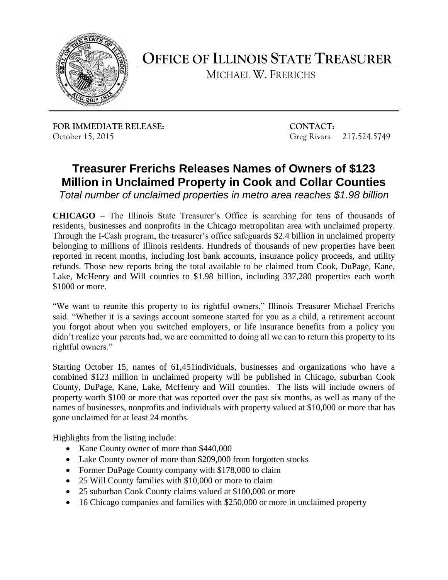

**OFFICE OF ILLINOIS STATE TREASURER**

MICHAEL W. FRERICHS

**FOR IMMEDIATE RELEASE: CONTACT:** October 15, 2015 Greg Rivara 217.524.5749

## **Treasurer Frerichs Releases Names of Owners of \$123 Million in Unclaimed Property in Cook and Collar Counties**

*Total number of unclaimed properties in metro area reaches \$1.98 billion*

**CHICAGO** – The Illinois State Treasurer's Office is searching for tens of thousands of residents, businesses and nonprofits in the Chicago metropolitan area with unclaimed property. Through the I-Cash program, the treasurer's office safeguards \$2.4 billion in unclaimed property belonging to millions of Illinois residents. Hundreds of thousands of new properties have been reported in recent months, including lost bank accounts, insurance policy proceeds, and utility refunds. Those new reports bring the total available to be claimed from Cook, DuPage, Kane, Lake, McHenry and Will counties to \$1.98 billion, including 337,280 properties each worth \$1000 or more.

"We want to reunite this property to its rightful owners," Illinois Treasurer Michael Frerichs said. "Whether it is a savings account someone started for you as a child, a retirement account you forgot about when you switched employers, or life insurance benefits from a policy you didn't realize your parents had, we are committed to doing all we can to return this property to its rightful owners."

Starting October 15, names of 61,451individuals, businesses and organizations who have a combined \$123 million in unclaimed property will be published in Chicago, suburban Cook County, DuPage, Kane, Lake, McHenry and Will counties. The lists will include owners of property worth \$100 or more that was reported over the past six months, as well as many of the names of businesses, nonprofits and individuals with property valued at \$10,000 or more that has gone unclaimed for at least 24 months.

Highlights from the listing include:

- Kane County owner of more than \$440,000
- Lake County owner of more than \$209,000 from forgotten stocks
- Former DuPage County company with \$178,000 to claim
- 25 Will County families with \$10,000 or more to claim
- 25 suburban Cook County claims valued at \$100,000 or more
- 16 Chicago companies and families with \$250,000 or more in unclaimed property